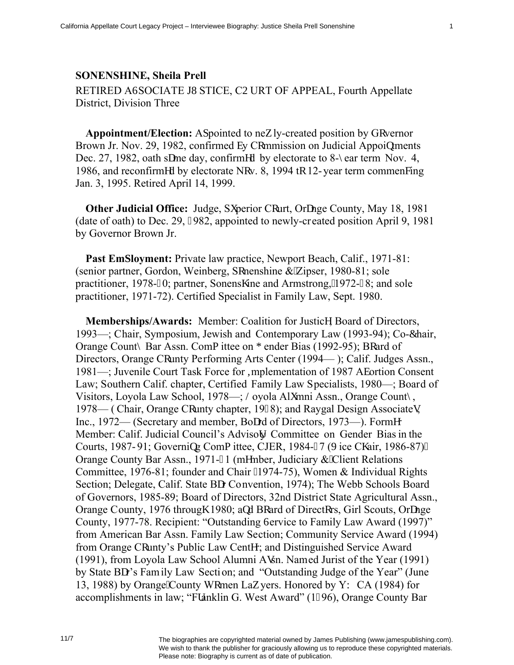## **SONENSHINE, Sheila Prell** RETIRED AUSOCIATE JWSTICE, COURT OF APPEAL, Fourth Appellate District, Division Three

**Appointment/Election:** Ar pointed to ney ly-created position by Gqvernor Brown Jr. Nov. 29, 1982, confirmed dy Commission on Judicial Appoiptments Dec. 27, 1982, oath scme day, confirmed by electorate to 8-{ear term Nov. 4, 1986, and reconfirmed by electorate Ngv. 8, 1994 tq 12-year term commeneing Jan. 3, 1995. Retired April 14, 1999.

**Other Judicial Office:** Judge, Sweerior Cqurt, Orcnge County, May 18, 1981 (date of oath) to Dec. 29, 3982, appointed to newly-created position April 9, 1981 by Governor Brown Jr.

**Past Emr loyment:** Private law practice, Newport Beach, Calif., 1971-81: (senior partner, Gordon, Weinberg, Sqnenshine & Zipser, 1980-81; sole practitioner, 1978-; 0; partner, Sonensj ine and Armstrong, "1972-98; and sole practitioner, 1971-72). Certified Specialist in Family Law, Sept. 1980.

**Memberships/Awards:** Member: Coalition for Justicg, Board of Directors, 1993—; Chair, Symposium, Jewish and Contemporary Law (1993-94); Co-Ehair, Orange Count{ Bar Assn. Como ittee on I ender Bias (1992-95); Bqard of Directors, Orange Cqunty Performing Arts Center (1994—); Calif. Judges Assn., 1981—; Juvenile Court Task Force for Kinplementation of 1987 Adortion Consent Law; Southern Calif. chapter, Certified Family Law Specialists, 1980—; Board of Visitors, Loyola Law School, 1978—; Noyola Alwnni Assn., Orange Count{, 1978— (Chair, Orange Cqunty chapter, 1998); and Raygal Design Associateu. Inc., 1972— (Secretary and member, Bocrd of Directors, 1973—). Formgr Member: Calif. Judicial Council's Advisoty Committee on Gender Bias in the Courts, 1987-91; Governing Como ittee, CJER, 1984-: 7 (Xice Ci air, 1986-87)= Orange County Bar Assn., 1971 -: 1 (mgmber, Judiciary & Client Relations Committee, 1976-81; founder and Chair \*1974-75), Women & Individual Rights Section; Delegate, Calif. State Bcr Convention, 1974); The Webb Schools Board of Governors, 1985-89; Board of Directors, 32nd District State Agricultural Assn., Orange County, 1976 througi 1980; apd Bqard of Directors, Girl Scouts, Orcnge County, 1977-78. Recipient: "Outstanding Uervice to Family Law Award (1997)" from American Bar Assn. Family Law Section; Community Service Award (1994) from Orange Cqunty's Public Law Centgr; and Distinguished Service Award (1991), from Lovola Law School Alumni Ausn. Named Jurist of the Year (1991) by State Ber's Family Law Section; and "Outstanding Judge of the Year" (June 13, 1988) by Orange 'County Wqmen Lay yers. Honored by YY CA (1984) for accomplishments in law: "Ftanklin G. West Award" (1:96), Orange County Bar